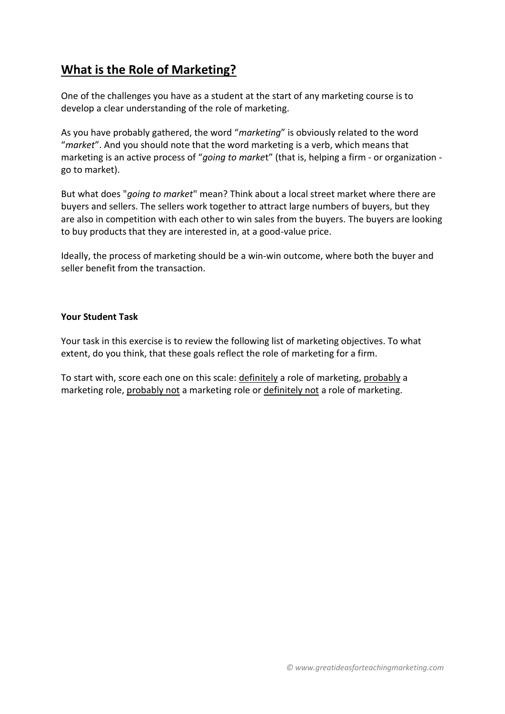## **What is the Role of Marketing?**

One of the challenges you have as a student at the start of any marketing course is to develop a clear understanding of the role of marketing.

As you have probably gathered, the word "*marketing*" is obviously related to the word "*market*". And you should note that the word marketing is a verb, which means that marketing is an active process of "*going to marke*t" (that is, helping a firm - or organization go to market).

But what does "*going to market*" mean? Think about a local street market where there are buyers and sellers. The sellers work together to attract large numbers of buyers, but they are also in competition with each other to win sales from the buyers. The buyers are looking to buy products that they are interested in, at a good-value price.

Ideally, the process of marketing should be a win-win outcome, where both the buyer and seller benefit from the transaction.

## **Your Student Task**

Your task in this exercise is to review the following list of marketing objectives. To what extent, do you think, that these goals reflect the role of marketing for a firm.

To start with, score each one on this scale: definitely a role of marketing, probably a marketing role, probably not a marketing role or definitely not a role of marketing.